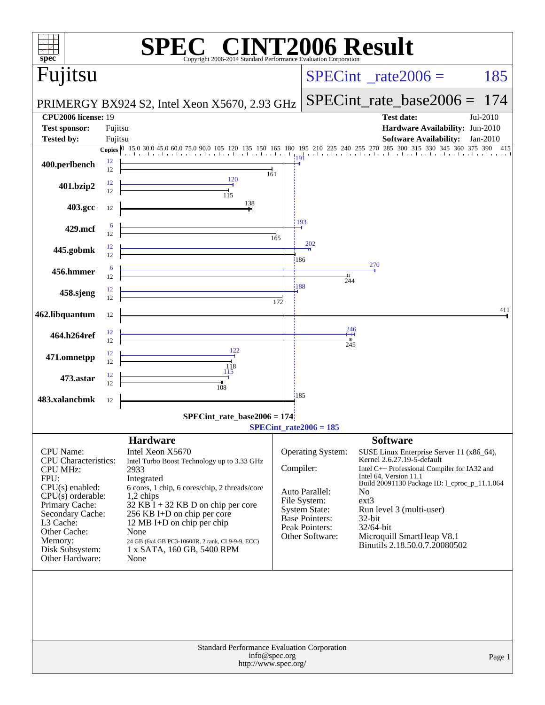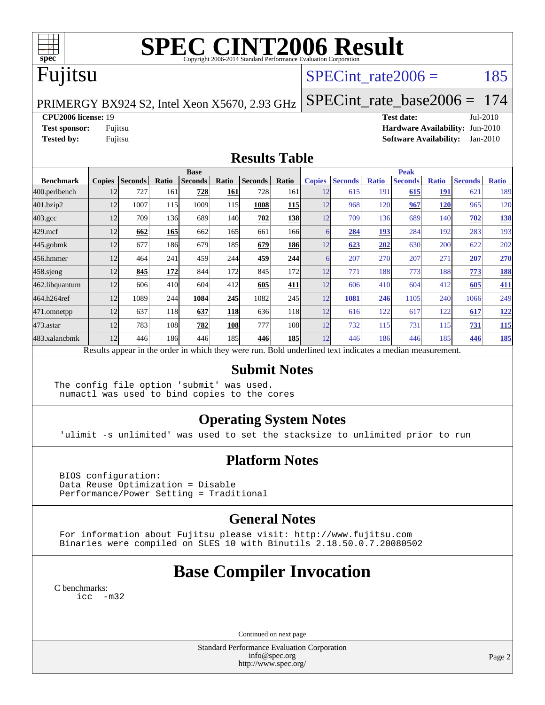

# **[SPEC CINT2006 Result](http://www.spec.org/auto/cpu2006/Docs/result-fields.html#SPECCINT2006Result)**

# Fujitsu

## SPECint rate $2006 = 185$

[SPECint\\_rate\\_base2006 =](http://www.spec.org/auto/cpu2006/Docs/result-fields.html#SPECintratebase2006) 174

PRIMERGY BX924 S2, Intel Xeon X5670, 2.93 GHz

**[CPU2006 license:](http://www.spec.org/auto/cpu2006/Docs/result-fields.html#CPU2006license)** 19 **[Test date:](http://www.spec.org/auto/cpu2006/Docs/result-fields.html#Testdate)** Jul-2010 **[Test sponsor:](http://www.spec.org/auto/cpu2006/Docs/result-fields.html#Testsponsor)** Fujitsu **[Hardware Availability:](http://www.spec.org/auto/cpu2006/Docs/result-fields.html#HardwareAvailability)** Jun-2010 **[Tested by:](http://www.spec.org/auto/cpu2006/Docs/result-fields.html#Testedby)** Fujitsu **[Software Availability:](http://www.spec.org/auto/cpu2006/Docs/result-fields.html#SoftwareAvailability)** Jan-2010

#### **[Results Table](http://www.spec.org/auto/cpu2006/Docs/result-fields.html#ResultsTable)**

|                                                                                                          | <b>Base</b>   |                |       |                |            |                |            | <b>Peak</b>   |                |              |                |              |                |              |
|----------------------------------------------------------------------------------------------------------|---------------|----------------|-------|----------------|------------|----------------|------------|---------------|----------------|--------------|----------------|--------------|----------------|--------------|
| <b>Benchmark</b>                                                                                         | <b>Copies</b> | <b>Seconds</b> | Ratio | <b>Seconds</b> | Ratio      | <b>Seconds</b> | Ratio      | <b>Copies</b> | <b>Seconds</b> | <b>Ratio</b> | <b>Seconds</b> | <b>Ratio</b> | <b>Seconds</b> | <b>Ratio</b> |
| 400.perlbench                                                                                            | 12            | 727            | 161   | 728            | 161        | 728            | 161        | 12            | 615            | 191          | 615            | <b>191</b>   | 621            | 189          |
| 401.bzip2                                                                                                | 12            | 1007           | 115   | 1009           | 115        | 1008           | <b>115</b> | 12            | 968            | 120          | 967            | <b>120</b>   | 965            | 120          |
| $403.\mathrm{gcc}$                                                                                       | 12            | 709            | 136   | 689            | 140I       | 702            | <u>138</u> | 12            | 709            | 136          | 689            | 140          | 702            | <b>138</b>   |
| $429$ .mcf                                                                                               | 12            | 662            | 165   | 662            | 165        | 661            | 166l       | 6             | 284            | 193          | 284            | 192          | 283            | 193          |
| $445$ .gobm $k$                                                                                          | 12            | 677            | 186   | 679            | 185        | 679            | <b>186</b> | 12            | 623            | 202          | 630            | 200          | 622            | 202          |
| 456.hmmer                                                                                                | 12            | 464            | 241   | 459            | 244        | 459            | 244        | 6             | 207            | 270          | 207            | 271          | 207            | 270          |
| 458 sjeng                                                                                                | 12            | 845            | 172   | 844            | 172        | 845            | 172l       | 12            | 771            | 188          | 773            | 188          | 773            | <b>188</b>   |
| 462.libquantum                                                                                           | 12            | 606            | 410   | 604            | 412        | 605            | 411        | 12            | 606            | 410          | 604            | 412          | 605            | 411          |
| 464.h264ref                                                                                              | 12            | 1089           | 244   | 1084           | 245        | 1082           | 245        | 12            | 1081           | 246          | 1105           | 240          | 1066           | 249          |
| 471.omnetpp                                                                                              | 12            | 637            | 118   | 637            | <b>118</b> | 636            | 118        | 12            | 616            | 122          | 617            | 122          | 617            | <u>122</u>   |
| $473.$ astar                                                                                             | 12            | 783            | 108   | 782            | 108        | 777            | 108        | 12            | 732            | 115          | 731            | 115          | 731            | <u>115</u>   |
| 483.xalancbmk                                                                                            | 12            | 446            | 186   | 446            | 185I       | 446            | <b>185</b> | 12            | 446            | 186          | 446            | 185          | 446            | <b>185</b>   |
| Results appear in the order in which they were run. Bold underlined text indicates a median measurement. |               |                |       |                |            |                |            |               |                |              |                |              |                |              |

#### **[Submit Notes](http://www.spec.org/auto/cpu2006/Docs/result-fields.html#SubmitNotes)**

The config file option 'submit' was used. numactl was used to bind copies to the cores

## **[Operating System Notes](http://www.spec.org/auto/cpu2006/Docs/result-fields.html#OperatingSystemNotes)**

'ulimit -s unlimited' was used to set the stacksize to unlimited prior to run

## **[Platform Notes](http://www.spec.org/auto/cpu2006/Docs/result-fields.html#PlatformNotes)**

 BIOS configuration: Data Reuse Optimization = Disable Performance/Power Setting = Traditional

## **[General Notes](http://www.spec.org/auto/cpu2006/Docs/result-fields.html#GeneralNotes)**

 For information about Fujitsu please visit: <http://www.fujitsu.com> Binaries were compiled on SLES 10 with Binutils 2.18.50.0.7.20080502

## **[Base Compiler Invocation](http://www.spec.org/auto/cpu2006/Docs/result-fields.html#BaseCompilerInvocation)**

[C benchmarks](http://www.spec.org/auto/cpu2006/Docs/result-fields.html#Cbenchmarks): [icc -m32](http://www.spec.org/cpu2006/results/res2010q3/cpu2006-20100813-12899.flags.html#user_CCbase_intel_icc_32bit_5ff4a39e364c98233615fdd38438c6f2)

Continued on next page

Standard Performance Evaluation Corporation [info@spec.org](mailto:info@spec.org) <http://www.spec.org/>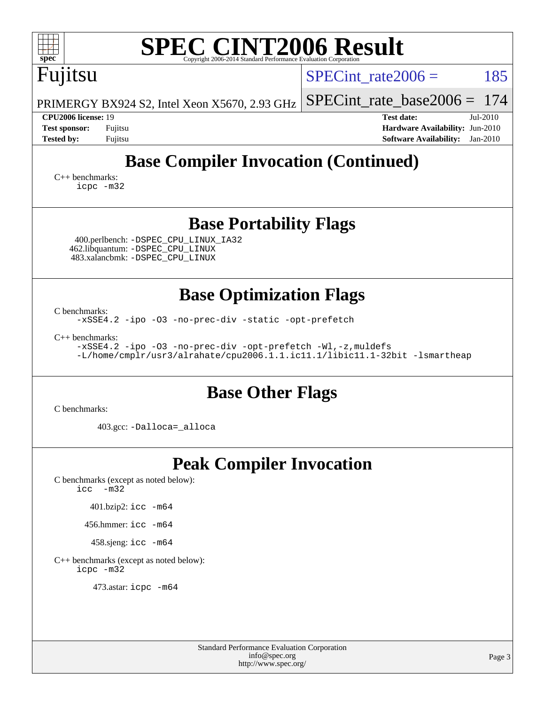| <b>SPEC CINT2006 Result</b><br>Copyright 2006-2014 Standard Performance Evaluation Corporation                                                                                                                                       |  |  |  |  |  |  |  |  |  |  |  |
|--------------------------------------------------------------------------------------------------------------------------------------------------------------------------------------------------------------------------------------|--|--|--|--|--|--|--|--|--|--|--|
| 185<br>SPECint rate $2006 =$                                                                                                                                                                                                         |  |  |  |  |  |  |  |  |  |  |  |
| 174<br>$SPECint_rate_base2006 =$                                                                                                                                                                                                     |  |  |  |  |  |  |  |  |  |  |  |
| <b>Test date:</b><br>Jul-2010                                                                                                                                                                                                        |  |  |  |  |  |  |  |  |  |  |  |
| Hardware Availability: Jun-2010<br><b>Software Availability:</b><br>$Jan-2010$                                                                                                                                                       |  |  |  |  |  |  |  |  |  |  |  |
| <b>Base Compiler Invocation (Continued)</b><br>$C_{++}$ benchmarks:<br>icpc -m32                                                                                                                                                     |  |  |  |  |  |  |  |  |  |  |  |
| <b>Base Portability Flags</b>                                                                                                                                                                                                        |  |  |  |  |  |  |  |  |  |  |  |
| <b>Base Optimization Flags</b><br>-xSSE4.2 -ipo -03 -no-prec-div -static -opt-prefetch<br>-xSSE4.2 -ipo -03 -no-prec-div -opt-prefetch -Wl,-z, muldefs<br>-L/home/cmplr/usr3/alrahate/cpu2006.1.1.ic11.1/libic11.1-32bit -lsmartheap |  |  |  |  |  |  |  |  |  |  |  |
| <b>Base Other Flags</b>                                                                                                                                                                                                              |  |  |  |  |  |  |  |  |  |  |  |
|                                                                                                                                                                                                                                      |  |  |  |  |  |  |  |  |  |  |  |
| <b>Peak Compiler Invocation</b>                                                                                                                                                                                                      |  |  |  |  |  |  |  |  |  |  |  |
|                                                                                                                                                                                                                                      |  |  |  |  |  |  |  |  |  |  |  |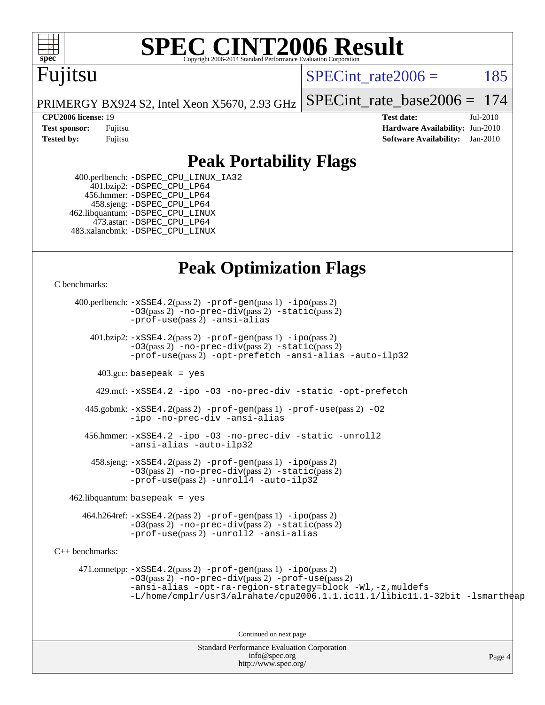

# **[SPEC CINT2006 Result](http://www.spec.org/auto/cpu2006/Docs/result-fields.html#SPECCINT2006Result)**

## Fujitsu

SPECint rate $2006 = 185$ 

PRIMERGY BX924 S2, Intel Xeon X5670, 2.93 GHz [SPECint\\_rate\\_base2006 =](http://www.spec.org/auto/cpu2006/Docs/result-fields.html#SPECintratebase2006) 174

**[CPU2006 license:](http://www.spec.org/auto/cpu2006/Docs/result-fields.html#CPU2006license)** 19 **[Test date:](http://www.spec.org/auto/cpu2006/Docs/result-fields.html#Testdate)** Jul-2010 **[Test sponsor:](http://www.spec.org/auto/cpu2006/Docs/result-fields.html#Testsponsor)** Fujitsu **[Hardware Availability:](http://www.spec.org/auto/cpu2006/Docs/result-fields.html#HardwareAvailability)** Jun-2010 **[Tested by:](http://www.spec.org/auto/cpu2006/Docs/result-fields.html#Testedby)** Fujitsu **[Software Availability:](http://www.spec.org/auto/cpu2006/Docs/result-fields.html#SoftwareAvailability)** Jan-2010

## **[Peak Portability Flags](http://www.spec.org/auto/cpu2006/Docs/result-fields.html#PeakPortabilityFlags)**

 400.perlbench: [-DSPEC\\_CPU\\_LINUX\\_IA32](http://www.spec.org/cpu2006/results/res2010q3/cpu2006-20100813-12899.flags.html#b400.perlbench_peakCPORTABILITY_DSPEC_CPU_LINUX_IA32) 401.bzip2: [-DSPEC\\_CPU\\_LP64](http://www.spec.org/cpu2006/results/res2010q3/cpu2006-20100813-12899.flags.html#suite_peakCPORTABILITY401_bzip2_DSPEC_CPU_LP64) 456.hmmer: [-DSPEC\\_CPU\\_LP64](http://www.spec.org/cpu2006/results/res2010q3/cpu2006-20100813-12899.flags.html#suite_peakCPORTABILITY456_hmmer_DSPEC_CPU_LP64) 458.sjeng: [-DSPEC\\_CPU\\_LP64](http://www.spec.org/cpu2006/results/res2010q3/cpu2006-20100813-12899.flags.html#suite_peakCPORTABILITY458_sjeng_DSPEC_CPU_LP64) 462.libquantum: [-DSPEC\\_CPU\\_LINUX](http://www.spec.org/cpu2006/results/res2010q3/cpu2006-20100813-12899.flags.html#b462.libquantum_peakCPORTABILITY_DSPEC_CPU_LINUX) 473.astar: [-DSPEC\\_CPU\\_LP64](http://www.spec.org/cpu2006/results/res2010q3/cpu2006-20100813-12899.flags.html#suite_peakCXXPORTABILITY473_astar_DSPEC_CPU_LP64) 483.xalancbmk: [-DSPEC\\_CPU\\_LINUX](http://www.spec.org/cpu2006/results/res2010q3/cpu2006-20100813-12899.flags.html#b483.xalancbmk_peakCXXPORTABILITY_DSPEC_CPU_LINUX)

## **[Peak Optimization Flags](http://www.spec.org/auto/cpu2006/Docs/result-fields.html#PeakOptimizationFlags)**

[C benchmarks](http://www.spec.org/auto/cpu2006/Docs/result-fields.html#Cbenchmarks):

Standard Performance Evaluation Corporation [info@spec.org](mailto:info@spec.org) Page 4 400.perlbench: [-xSSE4.2](http://www.spec.org/cpu2006/results/res2010q3/cpu2006-20100813-12899.flags.html#user_peakPASS2_CFLAGSPASS2_LDCFLAGS400_perlbench_f-xSSE42_f91528193cf0b216347adb8b939d4107)(pass 2) [-prof-gen](http://www.spec.org/cpu2006/results/res2010q3/cpu2006-20100813-12899.flags.html#user_peakPASS1_CFLAGSPASS1_LDCFLAGS400_perlbench_prof_gen_e43856698f6ca7b7e442dfd80e94a8fc)(pass 1) [-ipo](http://www.spec.org/cpu2006/results/res2010q3/cpu2006-20100813-12899.flags.html#user_peakPASS2_CFLAGSPASS2_LDCFLAGS400_perlbench_f-ipo)(pass 2) [-O3](http://www.spec.org/cpu2006/results/res2010q3/cpu2006-20100813-12899.flags.html#user_peakPASS2_CFLAGSPASS2_LDCFLAGS400_perlbench_f-O3)(pass 2) [-no-prec-div](http://www.spec.org/cpu2006/results/res2010q3/cpu2006-20100813-12899.flags.html#user_peakPASS2_CFLAGSPASS2_LDCFLAGS400_perlbench_f-no-prec-div)(pass 2) [-static](http://www.spec.org/cpu2006/results/res2010q3/cpu2006-20100813-12899.flags.html#user_peakPASS2_CFLAGSPASS2_LDCFLAGS400_perlbench_f-static)(pass 2) [-prof-use](http://www.spec.org/cpu2006/results/res2010q3/cpu2006-20100813-12899.flags.html#user_peakPASS2_CFLAGSPASS2_LDCFLAGS400_perlbench_prof_use_bccf7792157ff70d64e32fe3e1250b55)(pass 2) [-ansi-alias](http://www.spec.org/cpu2006/results/res2010q3/cpu2006-20100813-12899.flags.html#user_peakCOPTIMIZE400_perlbench_f-ansi-alias) 401.bzip2: [-xSSE4.2](http://www.spec.org/cpu2006/results/res2010q3/cpu2006-20100813-12899.flags.html#user_peakPASS2_CFLAGSPASS2_LDCFLAGS401_bzip2_f-xSSE42_f91528193cf0b216347adb8b939d4107)(pass 2) [-prof-gen](http://www.spec.org/cpu2006/results/res2010q3/cpu2006-20100813-12899.flags.html#user_peakPASS1_CFLAGSPASS1_LDCFLAGS401_bzip2_prof_gen_e43856698f6ca7b7e442dfd80e94a8fc)(pass 1) [-ipo](http://www.spec.org/cpu2006/results/res2010q3/cpu2006-20100813-12899.flags.html#user_peakPASS2_CFLAGSPASS2_LDCFLAGS401_bzip2_f-ipo)(pass 2) [-O3](http://www.spec.org/cpu2006/results/res2010q3/cpu2006-20100813-12899.flags.html#user_peakPASS2_CFLAGSPASS2_LDCFLAGS401_bzip2_f-O3)(pass 2) [-no-prec-div](http://www.spec.org/cpu2006/results/res2010q3/cpu2006-20100813-12899.flags.html#user_peakPASS2_CFLAGSPASS2_LDCFLAGS401_bzip2_f-no-prec-div)(pass 2) [-static](http://www.spec.org/cpu2006/results/res2010q3/cpu2006-20100813-12899.flags.html#user_peakPASS2_CFLAGSPASS2_LDCFLAGS401_bzip2_f-static)(pass 2) [-prof-use](http://www.spec.org/cpu2006/results/res2010q3/cpu2006-20100813-12899.flags.html#user_peakPASS2_CFLAGSPASS2_LDCFLAGS401_bzip2_prof_use_bccf7792157ff70d64e32fe3e1250b55)(pass 2) [-opt-prefetch](http://www.spec.org/cpu2006/results/res2010q3/cpu2006-20100813-12899.flags.html#user_peakCOPTIMIZE401_bzip2_f-opt-prefetch) [-ansi-alias](http://www.spec.org/cpu2006/results/res2010q3/cpu2006-20100813-12899.flags.html#user_peakCOPTIMIZE401_bzip2_f-ansi-alias) [-auto-ilp32](http://www.spec.org/cpu2006/results/res2010q3/cpu2006-20100813-12899.flags.html#user_peakCOPTIMIZE401_bzip2_f-auto-ilp32)  $403.\text{gcc: basepeak}$  = yes 429.mcf: [-xSSE4.2](http://www.spec.org/cpu2006/results/res2010q3/cpu2006-20100813-12899.flags.html#user_peakCOPTIMIZE429_mcf_f-xSSE42_f91528193cf0b216347adb8b939d4107) [-ipo](http://www.spec.org/cpu2006/results/res2010q3/cpu2006-20100813-12899.flags.html#user_peakCOPTIMIZE429_mcf_f-ipo) [-O3](http://www.spec.org/cpu2006/results/res2010q3/cpu2006-20100813-12899.flags.html#user_peakCOPTIMIZE429_mcf_f-O3) [-no-prec-div](http://www.spec.org/cpu2006/results/res2010q3/cpu2006-20100813-12899.flags.html#user_peakCOPTIMIZE429_mcf_f-no-prec-div) [-static](http://www.spec.org/cpu2006/results/res2010q3/cpu2006-20100813-12899.flags.html#user_peakCOPTIMIZE429_mcf_f-static) [-opt-prefetch](http://www.spec.org/cpu2006/results/res2010q3/cpu2006-20100813-12899.flags.html#user_peakCOPTIMIZE429_mcf_f-opt-prefetch) 445.gobmk: [-xSSE4.2](http://www.spec.org/cpu2006/results/res2010q3/cpu2006-20100813-12899.flags.html#user_peakPASS2_CFLAGSPASS2_LDCFLAGS445_gobmk_f-xSSE42_f91528193cf0b216347adb8b939d4107)(pass 2) [-prof-gen](http://www.spec.org/cpu2006/results/res2010q3/cpu2006-20100813-12899.flags.html#user_peakPASS1_CFLAGSPASS1_LDCFLAGS445_gobmk_prof_gen_e43856698f6ca7b7e442dfd80e94a8fc)(pass 1) [-prof-use](http://www.spec.org/cpu2006/results/res2010q3/cpu2006-20100813-12899.flags.html#user_peakPASS2_CFLAGSPASS2_LDCFLAGS445_gobmk_prof_use_bccf7792157ff70d64e32fe3e1250b55)(pass 2) [-O2](http://www.spec.org/cpu2006/results/res2010q3/cpu2006-20100813-12899.flags.html#user_peakCOPTIMIZE445_gobmk_f-O2) [-ipo](http://www.spec.org/cpu2006/results/res2010q3/cpu2006-20100813-12899.flags.html#user_peakCOPTIMIZE445_gobmk_f-ipo) [-no-prec-div](http://www.spec.org/cpu2006/results/res2010q3/cpu2006-20100813-12899.flags.html#user_peakCOPTIMIZE445_gobmk_f-no-prec-div) [-ansi-alias](http://www.spec.org/cpu2006/results/res2010q3/cpu2006-20100813-12899.flags.html#user_peakCOPTIMIZE445_gobmk_f-ansi-alias) 456.hmmer: [-xSSE4.2](http://www.spec.org/cpu2006/results/res2010q3/cpu2006-20100813-12899.flags.html#user_peakCOPTIMIZE456_hmmer_f-xSSE42_f91528193cf0b216347adb8b939d4107) [-ipo](http://www.spec.org/cpu2006/results/res2010q3/cpu2006-20100813-12899.flags.html#user_peakCOPTIMIZE456_hmmer_f-ipo) [-O3](http://www.spec.org/cpu2006/results/res2010q3/cpu2006-20100813-12899.flags.html#user_peakCOPTIMIZE456_hmmer_f-O3) [-no-prec-div](http://www.spec.org/cpu2006/results/res2010q3/cpu2006-20100813-12899.flags.html#user_peakCOPTIMIZE456_hmmer_f-no-prec-div) [-static](http://www.spec.org/cpu2006/results/res2010q3/cpu2006-20100813-12899.flags.html#user_peakCOPTIMIZE456_hmmer_f-static) [-unroll2](http://www.spec.org/cpu2006/results/res2010q3/cpu2006-20100813-12899.flags.html#user_peakCOPTIMIZE456_hmmer_f-unroll_784dae83bebfb236979b41d2422d7ec2) [-ansi-alias](http://www.spec.org/cpu2006/results/res2010q3/cpu2006-20100813-12899.flags.html#user_peakCOPTIMIZE456_hmmer_f-ansi-alias) [-auto-ilp32](http://www.spec.org/cpu2006/results/res2010q3/cpu2006-20100813-12899.flags.html#user_peakCOPTIMIZE456_hmmer_f-auto-ilp32)  $458 \text{.}$  sjeng:  $-xSSE4$ .  $2(\text{pass 2})$  -prof-qen(pass 1) [-ipo](http://www.spec.org/cpu2006/results/res2010q3/cpu2006-20100813-12899.flags.html#user_peakPASS2_CFLAGSPASS2_LDCFLAGS458_sjeng_f-ipo)(pass 2) [-O3](http://www.spec.org/cpu2006/results/res2010q3/cpu2006-20100813-12899.flags.html#user_peakPASS2_CFLAGSPASS2_LDCFLAGS458_sjeng_f-O3)(pass 2) [-no-prec-div](http://www.spec.org/cpu2006/results/res2010q3/cpu2006-20100813-12899.flags.html#user_peakPASS2_CFLAGSPASS2_LDCFLAGS458_sjeng_f-no-prec-div)(pass 2) [-static](http://www.spec.org/cpu2006/results/res2010q3/cpu2006-20100813-12899.flags.html#user_peakPASS2_CFLAGSPASS2_LDCFLAGS458_sjeng_f-static)(pass 2) [-prof-use](http://www.spec.org/cpu2006/results/res2010q3/cpu2006-20100813-12899.flags.html#user_peakPASS2_CFLAGSPASS2_LDCFLAGS458_sjeng_prof_use_bccf7792157ff70d64e32fe3e1250b55)(pass 2) [-unroll4](http://www.spec.org/cpu2006/results/res2010q3/cpu2006-20100813-12899.flags.html#user_peakCOPTIMIZE458_sjeng_f-unroll_4e5e4ed65b7fd20bdcd365bec371b81f) [-auto-ilp32](http://www.spec.org/cpu2006/results/res2010q3/cpu2006-20100813-12899.flags.html#user_peakCOPTIMIZE458_sjeng_f-auto-ilp32)  $462$ .libquantum: basepeak = yes 464.h264ref: [-xSSE4.2](http://www.spec.org/cpu2006/results/res2010q3/cpu2006-20100813-12899.flags.html#user_peakPASS2_CFLAGSPASS2_LDCFLAGS464_h264ref_f-xSSE42_f91528193cf0b216347adb8b939d4107)(pass 2) [-prof-gen](http://www.spec.org/cpu2006/results/res2010q3/cpu2006-20100813-12899.flags.html#user_peakPASS1_CFLAGSPASS1_LDCFLAGS464_h264ref_prof_gen_e43856698f6ca7b7e442dfd80e94a8fc)(pass 1) [-ipo](http://www.spec.org/cpu2006/results/res2010q3/cpu2006-20100813-12899.flags.html#user_peakPASS2_CFLAGSPASS2_LDCFLAGS464_h264ref_f-ipo)(pass 2) [-O3](http://www.spec.org/cpu2006/results/res2010q3/cpu2006-20100813-12899.flags.html#user_peakPASS2_CFLAGSPASS2_LDCFLAGS464_h264ref_f-O3)(pass 2) [-no-prec-div](http://www.spec.org/cpu2006/results/res2010q3/cpu2006-20100813-12899.flags.html#user_peakPASS2_CFLAGSPASS2_LDCFLAGS464_h264ref_f-no-prec-div)(pass 2) [-static](http://www.spec.org/cpu2006/results/res2010q3/cpu2006-20100813-12899.flags.html#user_peakPASS2_CFLAGSPASS2_LDCFLAGS464_h264ref_f-static)(pass 2) [-prof-use](http://www.spec.org/cpu2006/results/res2010q3/cpu2006-20100813-12899.flags.html#user_peakPASS2_CFLAGSPASS2_LDCFLAGS464_h264ref_prof_use_bccf7792157ff70d64e32fe3e1250b55)(pass 2) [-unroll2](http://www.spec.org/cpu2006/results/res2010q3/cpu2006-20100813-12899.flags.html#user_peakCOPTIMIZE464_h264ref_f-unroll_784dae83bebfb236979b41d2422d7ec2) [-ansi-alias](http://www.spec.org/cpu2006/results/res2010q3/cpu2006-20100813-12899.flags.html#user_peakCOPTIMIZE464_h264ref_f-ansi-alias) [C++ benchmarks:](http://www.spec.org/auto/cpu2006/Docs/result-fields.html#CXXbenchmarks) 471.omnetpp: [-xSSE4.2](http://www.spec.org/cpu2006/results/res2010q3/cpu2006-20100813-12899.flags.html#user_peakPASS2_CXXFLAGSPASS2_LDCXXFLAGS471_omnetpp_f-xSSE42_f91528193cf0b216347adb8b939d4107)(pass 2) [-prof-gen](http://www.spec.org/cpu2006/results/res2010q3/cpu2006-20100813-12899.flags.html#user_peakPASS1_CXXFLAGSPASS1_LDCXXFLAGS471_omnetpp_prof_gen_e43856698f6ca7b7e442dfd80e94a8fc)(pass 1) [-ipo](http://www.spec.org/cpu2006/results/res2010q3/cpu2006-20100813-12899.flags.html#user_peakPASS2_CXXFLAGSPASS2_LDCXXFLAGS471_omnetpp_f-ipo)(pass 2) [-O3](http://www.spec.org/cpu2006/results/res2010q3/cpu2006-20100813-12899.flags.html#user_peakPASS2_CXXFLAGSPASS2_LDCXXFLAGS471_omnetpp_f-O3)(pass 2) [-no-prec-div](http://www.spec.org/cpu2006/results/res2010q3/cpu2006-20100813-12899.flags.html#user_peakPASS2_CXXFLAGSPASS2_LDCXXFLAGS471_omnetpp_f-no-prec-div)(pass 2) [-prof-use](http://www.spec.org/cpu2006/results/res2010q3/cpu2006-20100813-12899.flags.html#user_peakPASS2_CXXFLAGSPASS2_LDCXXFLAGS471_omnetpp_prof_use_bccf7792157ff70d64e32fe3e1250b55)(pass 2) [-ansi-alias](http://www.spec.org/cpu2006/results/res2010q3/cpu2006-20100813-12899.flags.html#user_peakCXXOPTIMIZE471_omnetpp_f-ansi-alias) [-opt-ra-region-strategy=block](http://www.spec.org/cpu2006/results/res2010q3/cpu2006-20100813-12899.flags.html#user_peakCXXOPTIMIZE471_omnetpp_f-opt-ra-region-strategy-block_a0a37c372d03933b2a18d4af463c1f69) [-Wl,-z,muldefs](http://www.spec.org/cpu2006/results/res2010q3/cpu2006-20100813-12899.flags.html#user_peakEXTRA_LDFLAGS471_omnetpp_link_force_multiple1_74079c344b956b9658436fd1b6dd3a8a) [-L/home/cmplr/usr3/alrahate/cpu2006.1.1.ic11.1/libic11.1-32bit -lsmartheap](http://www.spec.org/cpu2006/results/res2010q3/cpu2006-20100813-12899.flags.html#user_peakEXTRA_LIBS471_omnetpp_SmartHeap_d86dffe4a79b79ef8890d5cce17030c3) Continued on next page

<http://www.spec.org/>